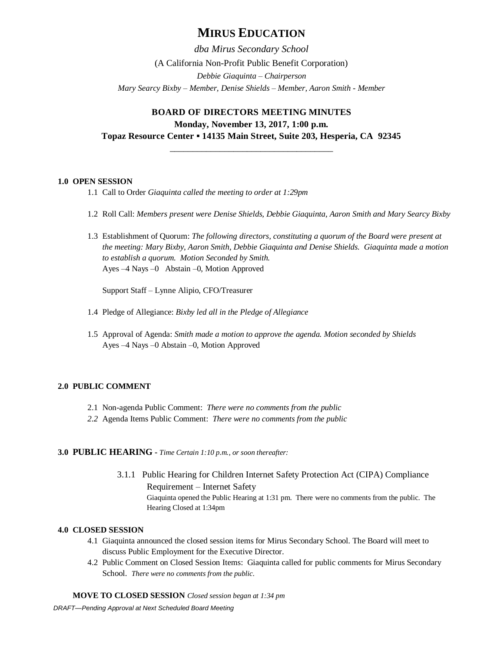# **MIRUS EDUCATION**

*dba Mirus Secondary School* (A California Non-Profit Public Benefit Corporation) *Debbie Giaquinta – Chairperson Mary Searcy Bixby – Member, Denise Shields – Member, Aaron Smith - Member*

# **BOARD OF DIRECTORS MEETING MINUTES Monday, November 13, 2017, 1:00 p.m. Topaz Resource Center ▪ 14135 Main Street, Suite 203, Hesperia, CA 92345**

# \_\_\_\_\_\_\_\_\_\_\_\_\_\_\_\_\_\_\_\_\_\_\_\_\_\_\_\_\_\_\_\_\_\_\_\_

## **1.0 OPEN SESSION**

- 1.1 Call to Order *Giaquinta called the meeting to order at 1:29pm*
- 1.2 Roll Call: *Members present were Denise Shields, Debbie Giaquinta, Aaron Smith and Mary Searcy Bixby*
- 1.3 Establishment of Quorum: *The following directors, constituting a quorum of the Board were present at the meeting: Mary Bixby, Aaron Smith, Debbie Giaquinta and Denise Shields. Giaquinta made a motion to establish a quorum. Motion Seconded by Smith.* Ayes –4 Nays –0 Abstain –0, Motion Approved

Support Staff – Lynne Alipio, CFO/Treasurer

- 1.4 Pledge of Allegiance: *Bixby led all in the Pledge of Allegiance*
- 1.5 Approval of Agenda: *Smith made a motion to approve the agenda. Motion seconded by Shields*  Ayes –4 Nays –0 Abstain –0, Motion Approved

# **2.0 PUBLIC COMMENT**

- 2.1 Non-agenda Public Comment: *There were no comments from the public*
- *2.2* Agenda Items Public Comment: *There were no comments from the public*

## **3.0 PUBLIC HEARING -** *Time Certain 1:10 p.m., or soon thereafter:*

3.1.1 Public Hearing for Children Internet Safety Protection Act (CIPA) Compliance Requirement – Internet Safety Giaquinta opened the Public Hearing at 1:31 pm. There were no comments from the public. The Hearing Closed at 1:34pm

## **4.0 CLOSED SESSION**

- 4.1 Giaquinta announced the closed session items for Mirus Secondary School. The Board will meet to discuss Public Employment for the Executive Director.
- 4.2 Public Comment on Closed Session Items: Giaquinta called for public comments for Mirus Secondary School. *There were no comments from the public.*

## **MOVE TO CLOSED SESSION** *Closed session began at 1:34 pm*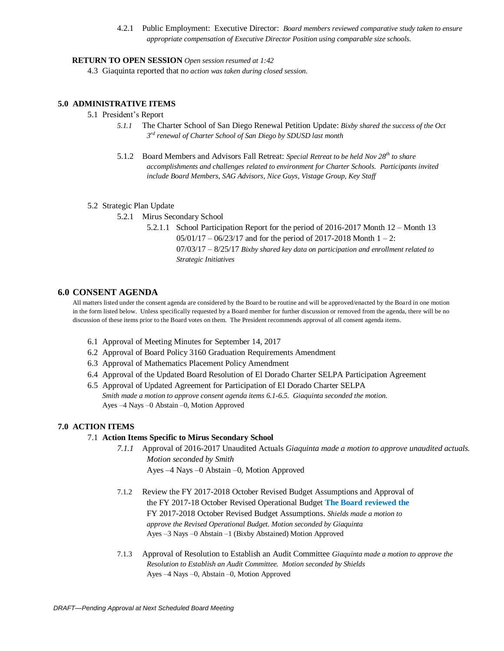4.2.1 Public Employment: Executive Director: *Board members reviewed comparative study taken to ensure appropriate compensation of Executive Director Position using comparable size schools.*

#### **RETURN TO OPEN SESSION** *Open session resumed at 1:42*

4.3 Giaquinta reported that n*o action was taken during closed session.*

## **5.0 ADMINISTRATIVE ITEMS**

## 5.1 President's Report

- *5.1.1* The Charter School of San Diego Renewal Petition Update: *Bixby shared the success of the Oct 3 rd renewal of Charter School of San Diego by SDUSD last month*
- 5.1.2 Board Members and Advisors Fall Retreat: *Special Retreat to be held Nov 28th to share accomplishments and challenges related to environment for Charter Schools. Participants invited include Board Members, SAG Advisors, Nice Guys, Vistage Group, Key Staff*

#### 5.2 Strategic Plan Update

5.2.1 Mirus Secondary School

5.2.1.1 School Participation Report for the period of 2016-2017 Month 12 – Month 13  $05/01/17 - 06/23/17$  and for the period of 2017-2018 Month  $1 - 2$ : 07/03/17 – 8/25/17 *Bixby shared key data on participation and enrollment related to Strategic Initiatives* 

#### **6.0 CONSENT AGENDA**

All matters listed under the consent agenda are considered by the Board to be routine and will be approved/enacted by the Board in one motion in the form listed below. Unless specifically requested by a Board member for further discussion or removed from the agenda, there will be no discussion of these items prior to the Board votes on them. The President recommends approval of all consent agenda items.

- 6.1 Approval of Meeting Minutes for September 14, 2017
- 6.2 Approval of Board Policy 3160 Graduation Requirements Amendment
- 6.3 Approval of Mathematics Placement Policy Amendment
- 6.4 Approval of the Updated Board Resolution of El Dorado Charter SELPA Participation Agreement
- 6.5 Approval of Updated Agreement for Participation of El Dorado Charter SELPA *Smith made a motion to approve consent agenda items 6.1-6.5. Giaquinta seconded the motion.*  Ayes –4 Nays –0 Abstain –0, Motion Approved

#### **7.0 ACTION ITEMS**

## 7.1 **Action Items Specific to Mirus Secondary School**

- *7.1.1* Approval of 2016-2017 Unaudited Actuals *Giaquinta made a motion to approve unaudited actuals. Motion seconded by Smith* Ayes –4 Nays –0 Abstain –0, Motion Approved
- 7.1.2 Review the FY 2017-2018 October Revised Budget Assumptions and Approval of the FY 2017-18 October Revised Operational Budget **The Board reviewed the**  FY 2017-2018 October Revised Budget Assumptions. *Shields made a motion to approve the Revised Operational Budget. Motion seconded by Giaquinta* Ayes –3 Nays –0 Abstain –1 (Bixby Abstained) Motion Approved
- 7.1.3 Approval of Resolution to Establish an Audit Committee *Giaquinta made a motion to approve the Resolution to Establish an Audit Committee. Motion seconded by Shields* Ayes –4 Nays –0, Abstain –0, Motion Approved